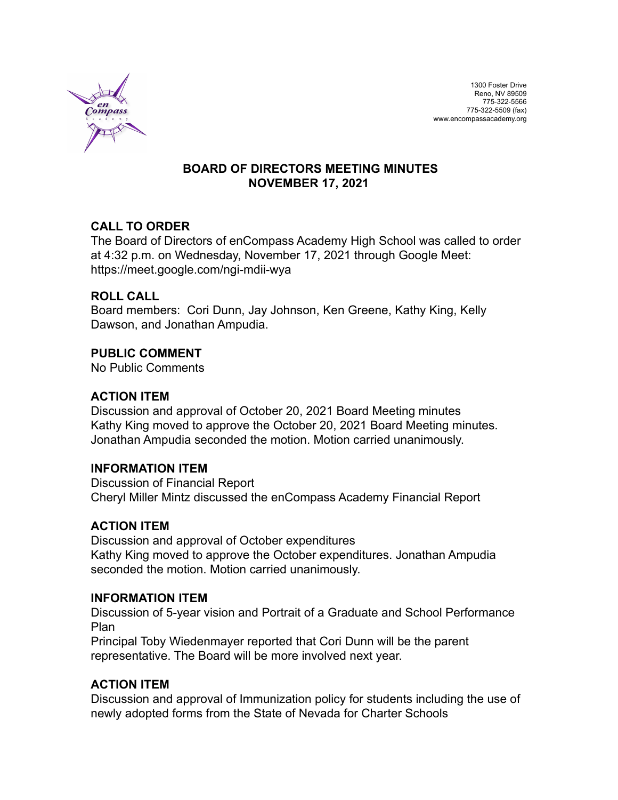

### **BOARD OF DIRECTORS MEETING MINUTES NOVEMBER 17, 2021**

# **CALL TO ORDER**

The Board of Directors of enCompass Academy High School was called to order at 4:32 p.m. on Wednesday, November 17, 2021 through Google Meet: https://meet.google.com/ngi-mdii-wya

### **ROLL CALL**

Board members: Cori Dunn, Jay Johnson, Ken Greene, Kathy King, Kelly Dawson, and Jonathan Ampudia.

### **PUBLIC COMMENT**

No Public Comments

### **ACTION ITEM**

Discussion and approval of October 20, 2021 Board Meeting minutes Kathy King moved to approve the October 20, 2021 Board Meeting minutes. Jonathan Ampudia seconded the motion. Motion carried unanimously.

#### **INFORMATION ITEM**

Discussion of Financial Report Cheryl Miller Mintz discussed the enCompass Academy Financial Report

# **ACTION ITEM**

Discussion and approval of October expenditures Kathy King moved to approve the October expenditures. Jonathan Ampudia seconded the motion. Motion carried unanimously.

#### **INFORMATION ITEM**

Discussion of 5-year vision and Portrait of a Graduate and School Performance Plan

Principal Toby Wiedenmayer reported that Cori Dunn will be the parent representative. The Board will be more involved next year.

# **ACTION ITEM**

Discussion and approval of Immunization policy for students including the use of newly adopted forms from the State of Nevada for Charter Schools